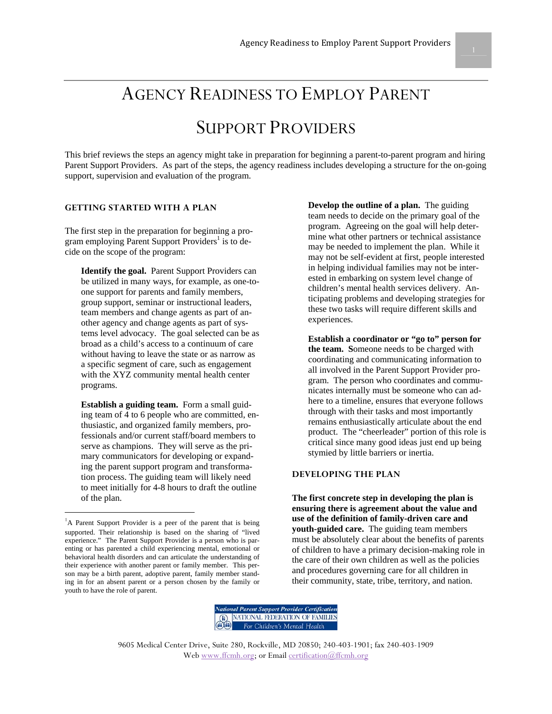AGENCY READINESS TO EMPLOY PARENT

# SUPPORT PROVIDERS

This brief reviews the steps an agency might take in preparation for beginning a parent-to-parent program and hiring Parent Support Providers. As part of the steps, the agency readiness includes developing a structure for the on-going support, supervision and evaluation of the program.

### **GETTING STARTED WITH A PLAN**

The first step in the preparation for beginning a program employing Parent Support Providers<sup>1</sup> is to decide on the scope of the program:

**Identify the goal.** Parent Support Providers can be utilized in many ways, for example, as one-toone support for parents and family members, group support, seminar or instructional leaders, team members and change agents as part of another agency and change agents as part of systems level advocacy. The goal selected can be as broad as a child's access to a continuum of care without having to leave the state or as narrow as a specific segment of care, such as engagement with the XYZ community mental health center programs.

**Establish a guiding team.** Form a small guiding team of 4 to 6 people who are committed, enthusiastic, and organized family members, professionals and/or current staff/board members to serve as champions. They will serve as the primary communicators for developing or expanding the parent support program and transformation process. The guiding team will likely need to meet initially for 4-8 hours to draft the outline of the plan.

-

**Develop the outline of a plan.** The guiding team needs to decide on the primary goal of the program. Agreeing on the goal will help determine what other partners or technical assistance may be needed to implement the plan. While it may not be self-evident at first, people interested in helping individual families may not be interested in embarking on system level change of children's mental health services delivery. Anticipating problems and developing strategies for these two tasks will require different skills and experiences.

**Establish a coordinator or "go to" person for the team. S**omeone needs to be charged with coordinating and communicating information to all involved in the Parent Support Provider program. The person who coordinates and communicates internally must be someone who can adhere to a timeline, ensures that everyone follows through with their tasks and most importantly remains enthusiastically articulate about the end product. The "cheerleader" portion of this role is critical since many good ideas just end up being stymied by little barriers or inertia.

#### **DEVELOPING THE PLAN**

**The first concrete step in developing the plan is ensuring there is agreement about the value and use of the definition of family-driven care and youth-guided care.** The guiding team members must be absolutely clear about the benefits of parents of children to have a primary decision-making role in the care of their own children as well as the policies and procedures governing care for all children in their community, state, tribe, territory, and nation.



<sup>&</sup>lt;sup>1</sup>A Parent Support Provider is a peer of the parent that is being supported. Their relationship is based on the sharing of "lived experience." The Parent Support Provider is a person who is parenting or has parented a child experiencing mental, emotional or behavioral health disorders and can articulate the understanding of their experience with another parent or family member. This person may be a birth parent, adoptive parent, family member standing in for an absent parent or a person chosen by the family or youth to have the role of parent.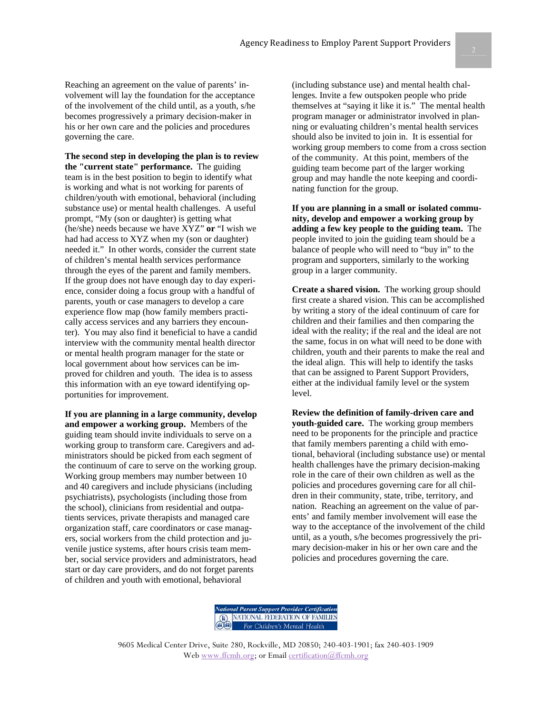Reaching an agreement on the value of parents' involvement will lay the foundation for the acceptance of the involvement of the child until, as a youth, s/he becomes progressively a primary decision-maker in his or her own care and the policies and procedures governing the care.

**The second step in developing the plan is to review the "current state" performance.** The guiding team is in the best position to begin to identify what is working and what is not working for parents of children/youth with emotional, behavioral (including substance use) or mental health challenges. A useful prompt, "My (son or daughter) is getting what (he/she) needs because we have XYZ" **or** "I wish we had had access to XYZ when my (son or daughter) needed it." In other words, consider the current state of children's mental health services performance through the eyes of the parent and family members. If the group does not have enough day to day experience, consider doing a focus group with a handful of parents, youth or case managers to develop a care experience flow map (how family members practically access services and any barriers they encounter). You may also find it beneficial to have a candid interview with the community mental health director or mental health program manager for the state or local government about how services can be improved for children and youth. The idea is to assess this information with an eye toward identifying opportunities for improvement.

**If you are planning in a large community, develop and empower a working group.** Members of the guiding team should invite individuals to serve on a working group to transform care. Caregivers and administrators should be picked from each segment of the continuum of care to serve on the working group. Working group members may number between 10 and 40 caregivers and include physicians (including psychiatrists), psychologists (including those from the school), clinicians from residential and outpatients services, private therapists and managed care organization staff, care coordinators or case managers, social workers from the child protection and juvenile justice systems, after hours crisis team member, social service providers and administrators, head start or day care providers, and do not forget parents of children and youth with emotional, behavioral

(including substance use) and mental health challenges. Invite a few outspoken people who pride themselves at "saying it like it is." The mental health program manager or administrator involved in planning or evaluating children's mental health services should also be invited to join in. It is essential for working group members to come from a cross section of the community. At this point, members of the guiding team become part of the larger working group and may handle the note keeping and coordinating function for the group.

**If you are planning in a small or isolated community, develop and empower a working group by adding a few key people to the guiding team.** The people invited to join the guiding team should be a balance of people who will need to "buy in" to the program and supporters, similarly to the working group in a larger community.

**Create a shared vision.** The working group should first create a shared vision. This can be accomplished by writing a story of the ideal continuum of care for children and their families and then comparing the ideal with the reality; if the real and the ideal are not the same, focus in on what will need to be done with children, youth and their parents to make the real and the ideal align. This will help to identify the tasks that can be assigned to Parent Support Providers, either at the individual family level or the system level.

**Review the definition of family-driven care and youth-guided care.** The working group members need to be proponents for the principle and practice that family members parenting a child with emotional, behavioral (including substance use) or mental health challenges have the primary decision-making role in the care of their own children as well as the policies and procedures governing care for all children in their community, state, tribe, territory, and nation. Reaching an agreement on the value of parents' and family member involvement will ease the way to the acceptance of the involvement of the child until, as a youth, s/he becomes progressively the primary decision-maker in his or her own care and the policies and procedures governing the care.

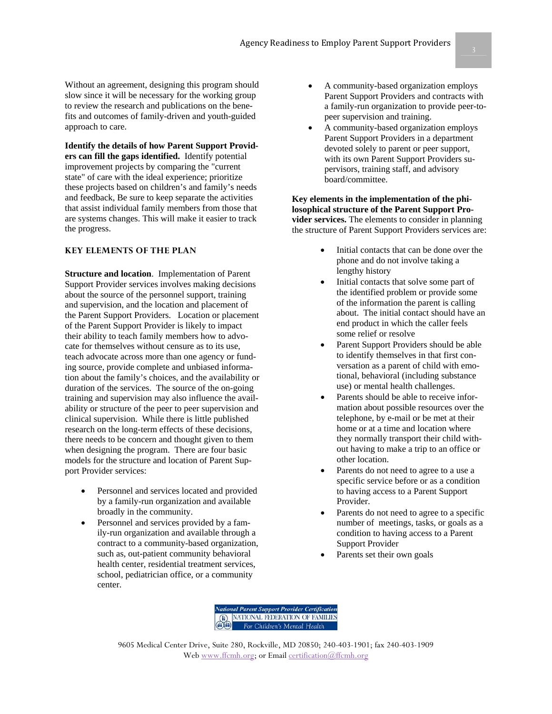Without an agreement, designing this program should slow since it will be necessary for the working group to review the research and publications on the benefits and outcomes of family-driven and youth-guided approach to care.

**Identify the details of how Parent Support Providers can fill the gaps identified.** Identify potential improvement projects by comparing the "current state" of care with the ideal experience; prioritize these projects based on children's and family's needs and feedback, Be sure to keep separate the activities that assist individual family members from those that are systems changes. This will make it easier to track the progress.

## **KEY ELEMENTS OF THE PLAN**

**Structure and location**. Implementation of Parent Support Provider services involves making decisions about the source of the personnel support, training and supervision, and the location and placement of the Parent Support Providers. Location or placement of the Parent Support Provider is likely to impact their ability to teach family members how to advocate for themselves without censure as to its use, teach advocate across more than one agency or funding source, provide complete and unbiased information about the family's choices, and the availability or duration of the services. The source of the on-going training and supervision may also influence the availability or structure of the peer to peer supervision and clinical supervision. While there is little published research on the long-term effects of these decisions, there needs to be concern and thought given to them when designing the program. There are four basic models for the structure and location of Parent Support Provider services:

- Personnel and services located and provided by a family-run organization and available broadly in the community.
- Personnel and services provided by a family-run organization and available through a contract to a community-based organization, such as, out-patient community behavioral health center, residential treatment services, school, pediatrician office, or a community center.
- A community-based organization employs Parent Support Providers and contracts with a family-run organization to provide peer-topeer supervision and training.
- A community-based organization employs Parent Support Providers in a department devoted solely to parent or peer support, with its own Parent Support Providers supervisors, training staff, and advisory board/committee.

### **Key elements in the implementation of the philosophical structure of the Parent Support Provider services.** The elements to consider in planning the structure of Parent Support Providers services are:

- Initial contacts that can be done over the phone and do not involve taking a lengthy history
- Initial contacts that solve some part of the identified problem or provide some of the information the parent is calling about. The initial contact should have an end product in which the caller feels some relief or resolve
- Parent Support Providers should be able to identify themselves in that first conversation as a parent of child with emotional, behavioral (including substance use) or mental health challenges.
- Parents should be able to receive information about possible resources over the telephone, by e-mail or be met at their home or at a time and location where they normally transport their child without having to make a trip to an office or other location.
- Parents do not need to agree to a use a specific service before or as a condition to having access to a Parent Support Provider.
- Parents do not need to agree to a specific number of meetings, tasks, or goals as a condition to having access to a Parent Support Provider
- Parents set their own goals

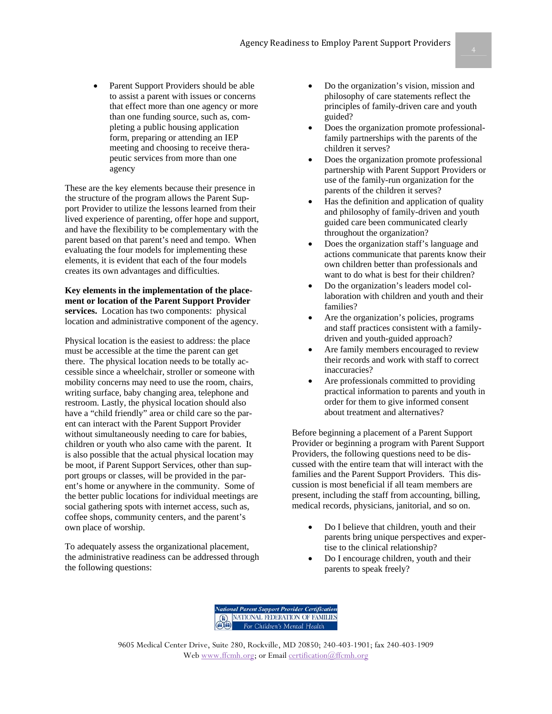Parent Support Providers should be able to assist a parent with issues or concerns that effect more than one agency or more than one funding source, such as, completing a public housing application form, preparing or attending an IEP meeting and choosing to receive therapeutic services from more than one agency

These are the key elements because their presence in the structure of the program allows the Parent Support Provider to utilize the lessons learned from their lived experience of parenting, offer hope and support, and have the flexibility to be complementary with the parent based on that parent's need and tempo. When evaluating the four models for implementing these elements, it is evident that each of the four models creates its own advantages and difficulties.

**Key elements in the implementation of the placement or location of the Parent Support Provider services.** Location has two components: physical location and administrative component of the agency.

Physical location is the easiest to address: the place must be accessible at the time the parent can get there. The physical location needs to be totally accessible since a wheelchair, stroller or someone with mobility concerns may need to use the room, chairs, writing surface, baby changing area, telephone and restroom. Lastly, the physical location should also have a "child friendly" area or child care so the parent can interact with the Parent Support Provider without simultaneously needing to care for babies, children or youth who also came with the parent. It is also possible that the actual physical location may be moot, if Parent Support Services, other than support groups or classes, will be provided in the parent's home or anywhere in the community. Some of the better public locations for individual meetings are social gathering spots with internet access, such as, coffee shops, community centers, and the parent's own place of worship.

To adequately assess the organizational placement, the administrative readiness can be addressed through the following questions:

- Do the organization's vision, mission and philosophy of care statements reflect the principles of family-driven care and youth guided?
- Does the organization promote professionalfamily partnerships with the parents of the children it serves?
- Does the organization promote professional partnership with Parent Support Providers or use of the family-run organization for the parents of the children it serves?
- Has the definition and application of quality and philosophy of family-driven and youth guided care been communicated clearly throughout the organization?
- Does the organization staff's language and actions communicate that parents know their own children better than professionals and want to do what is best for their children?
- Do the organization's leaders model collaboration with children and youth and their families?
- Are the organization's policies, programs and staff practices consistent with a familydriven and youth-guided approach?
- Are family members encouraged to review their records and work with staff to correct inaccuracies?
- Are professionals committed to providing practical information to parents and youth in order for them to give informed consent about treatment and alternatives?

Before beginning a placement of a Parent Support Provider or beginning a program with Parent Support Providers, the following questions need to be discussed with the entire team that will interact with the families and the Parent Support Providers. This discussion is most beneficial if all team members are present, including the staff from accounting, billing, medical records, physicians, janitorial, and so on.

- Do I believe that children, youth and their parents bring unique perspectives and expertise to the clinical relationship?
- Do I encourage children, youth and their parents to speak freely?

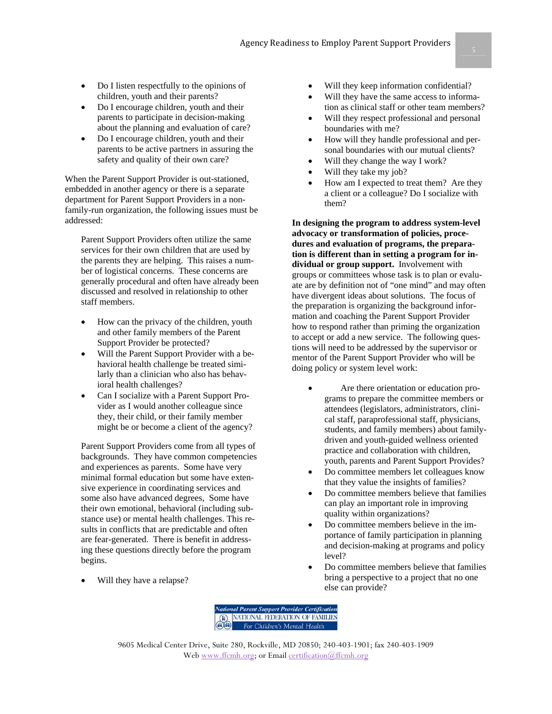- Do I listen respectfully to the opinions of children, youth and their parents?
- Do I encourage children, youth and their parents to participate in decision-making about the planning and evaluation of care?
- Do I encourage children, youth and their parents to be active partners in assuring the safety and quality of their own care?

When the Parent Support Provider is out-stationed, embedded in another agency or there is a separate department for Parent Support Providers in a nonfamily-run organization, the following issues must be addressed:

Parent Support Providers often utilize the same services for their own children that are used by the parents they are helping. This raises a number of logistical concerns. These concerns are generally procedural and often have already been discussed and resolved in relationship to other staff members.

- How can the privacy of the children, youth and other family members of the Parent Support Provider be protected?
- Will the Parent Support Provider with a behavioral health challenge be treated similarly than a clinician who also has behavioral health challenges?
- Can I socialize with a Parent Support Provider as I would another colleague since they, their child, or their family member might be or become a client of the agency?

Parent Support Providers come from all types of backgrounds. They have common competencies and experiences as parents. Some have very minimal formal education but some have extensive experience in coordinating services and some also have advanced degrees, Some have their own emotional, behavioral (including substance use) or mental health challenges. This results in conflicts that are predictable and often are fear-generated. There is benefit in addressing these questions directly before the program begins.

Will they have a relapse?

- Will they keep information confidential?
- Will they have the same access to information as clinical staff or other team members?
- Will they respect professional and personal boundaries with me?
- How will they handle professional and personal boundaries with our mutual clients?
- Will they change the way I work?
- Will they take my job?
- How am I expected to treat them? Are they a client or a colleague? Do I socialize with them?

**In designing the program to address system-level advocacy or transformation of policies, procedures and evaluation of programs, the preparation is different than in setting a program for individual or group support.** Involvement with groups or committees whose task is to plan or evaluate are by definition not of "one mind" and may often have divergent ideas about solutions. The focus of the preparation is organizing the background information and coaching the Parent Support Provider how to respond rather than priming the organization to accept or add a new service. The following questions will need to be addressed by the supervisor or mentor of the Parent Support Provider who will be doing policy or system level work:

- Are there orientation or education programs to prepare the committee members or attendees (legislators, administrators, clinical staff, paraprofessional staff, physicians, students, and family members) about familydriven and youth-guided wellness oriented practice and collaboration with children, youth, parents and Parent Support Provides?
- Do committee members let colleagues know that they value the insights of families?
- Do committee members believe that families can play an important role in improving quality within organizations?
- Do committee members believe in the importance of family participation in planning and decision-making at programs and policy level?
- Do committee members believe that families bring a perspective to a project that no one else can provide?

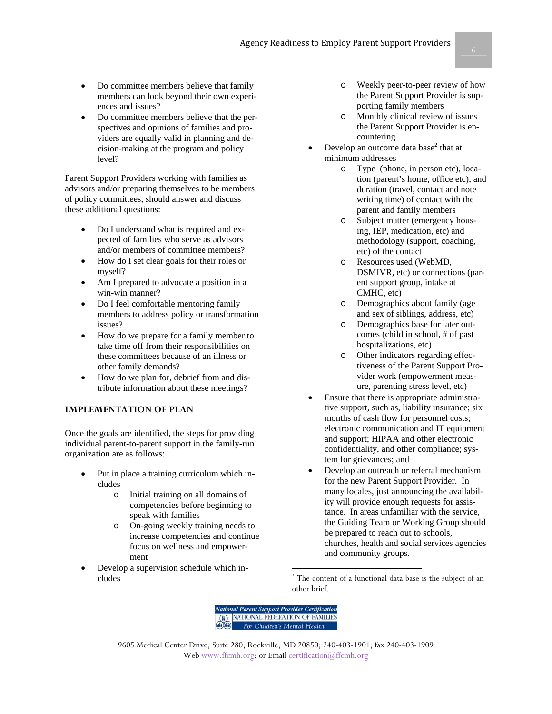- Do committee members believe that family members can look beyond their own experiences and issues?
- Do committee members believe that the perspectives and opinions of families and providers are equally valid in planning and decision-making at the program and policy level?

Parent Support Providers working with families as advisors and/or preparing themselves to be members of policy committees, should answer and discuss these additional questions:

- Do I understand what is required and expected of families who serve as advisors and/or members of committee members?
- How do I set clear goals for their roles or myself?
- Am I prepared to advocate a position in a win-win manner?
- Do I feel comfortable mentoring family members to address policy or transformation issues?
- How do we prepare for a family member to take time off from their responsibilities on these committees because of an illness or other family demands?
- How do we plan for, debrief from and distribute information about these meetings?

## **IMPLEMENTATION OF PLAN**

Once the goals are identified, the steps for providing individual parent-to-parent support in the family-run organization are as follows:

- Put in place a training curriculum which includes
	- o Initial training on all domains of competencies before beginning to speak with families
	- o On-going weekly training needs to increase competencies and continue focus on wellness and empowerment
- Develop a supervision schedule which includes
- o Weekly peer-to-peer review of how the Parent Support Provider is supporting family members
- Monthly clinical review of issues the Parent Support Provider is encountering
- Develop an outcome data base<sup>2</sup> that at minimum addresses
	- o Type (phone, in person etc), location (parent's home, office etc), and duration (travel, contact and note writing time) of contact with the parent and family members
	- o Subject matter (emergency housing, IEP, medication, etc) and methodology (support, coaching, etc) of the contact
	- o Resources used (WebMD, DSMIVR, etc) or connections (parent support group, intake at CMHC, etc)
	- o Demographics about family (age and sex of siblings, address, etc)
	- o Demographics base for later outcomes (child in school, # of past hospitalizations, etc)
	- o Other indicators regarding effectiveness of the Parent Support Provider work (empowerment measure, parenting stress level, etc)
- Ensure that there is appropriate administrative support, such as, liability insurance; six months of cash flow for personnel costs; electronic communication and IT equipment and support; HIPAA and other electronic confidentiality, and other compliance; system for grievances; and
- Develop an outreach or referral mechanism for the new Parent Support Provider. In many locales, just announcing the availability will provide enough requests for assistance. In areas unfamiliar with the service, the Guiding Team or Working Group should be prepared to reach out to schools, churches, health and social services agencies and community groups.

<sup>&</sup>lt;sup>2</sup> The content of a functional data base is the subject of another brief.



-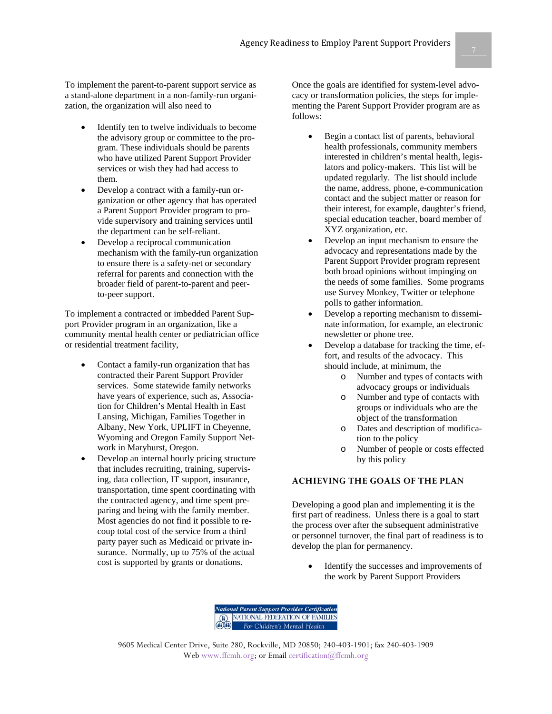To implement the parent-to-parent support service as a stand-alone department in a non-family-run organization, the organization will also need to

- Identify ten to twelve individuals to become the advisory group or committee to the program. These individuals should be parents who have utilized Parent Support Provider services or wish they had had access to them.
- Develop a contract with a family-run organization or other agency that has operated a Parent Support Provider program to provide supervisory and training services until the department can be self-reliant.
- Develop a reciprocal communication mechanism with the family-run organization to ensure there is a safety-net or secondary referral for parents and connection with the broader field of parent-to-parent and peerto-peer support.

To implement a contracted or imbedded Parent Support Provider program in an organization, like a community mental health center or pediatrician office or residential treatment facility,

- Contact a family-run organization that has contracted their Parent Support Provider services. Some statewide family networks have years of experience, such as, Association for Children's Mental Health in East Lansing, Michigan, Families Together in Albany, New York, UPLIFT in Cheyenne, Wyoming and Oregon Family Support Network in Maryhurst, Oregon.
- Develop an internal hourly pricing structure that includes recruiting, training, supervising, data collection, IT support, insurance, transportation, time spent coordinating with the contracted agency, and time spent preparing and being with the family member. Most agencies do not find it possible to recoup total cost of the service from a third party payer such as Medicaid or private insurance. Normally, up to 75% of the actual cost is supported by grants or donations.

Once the goals are identified for system-level advocacy or transformation policies, the steps for implementing the Parent Support Provider program are as follows:

- Begin a contact list of parents, behavioral health professionals, community members interested in children's mental health, legislators and policy-makers. This list will be updated regularly. The list should include the name, address, phone, e-communication contact and the subject matter or reason for their interest, for example, daughter's friend, special education teacher, board member of XYZ organization, etc.
- Develop an input mechanism to ensure the advocacy and representations made by the Parent Support Provider program represent both broad opinions without impinging on the needs of some families. Some programs use Survey Monkey, Twitter or telephone polls to gather information.
- Develop a reporting mechanism to disseminate information, for example, an electronic newsletter or phone tree.
- Develop a database for tracking the time, effort, and results of the advocacy. This should include, at minimum, the
	- o Number and types of contacts with advocacy groups or individuals
	- o Number and type of contacts with groups or individuals who are the object of the transformation
	- o Dates and description of modification to the policy
	- o Number of people or costs effected by this policy

## **ACHIEVING THE GOALS OF THE PLAN**

Developing a good plan and implementing it is the first part of readiness. Unless there is a goal to start the process over after the subsequent administrative or personnel turnover, the final part of readiness is to develop the plan for permanency.

• Identify the successes and improvements of the work by Parent Support Providers